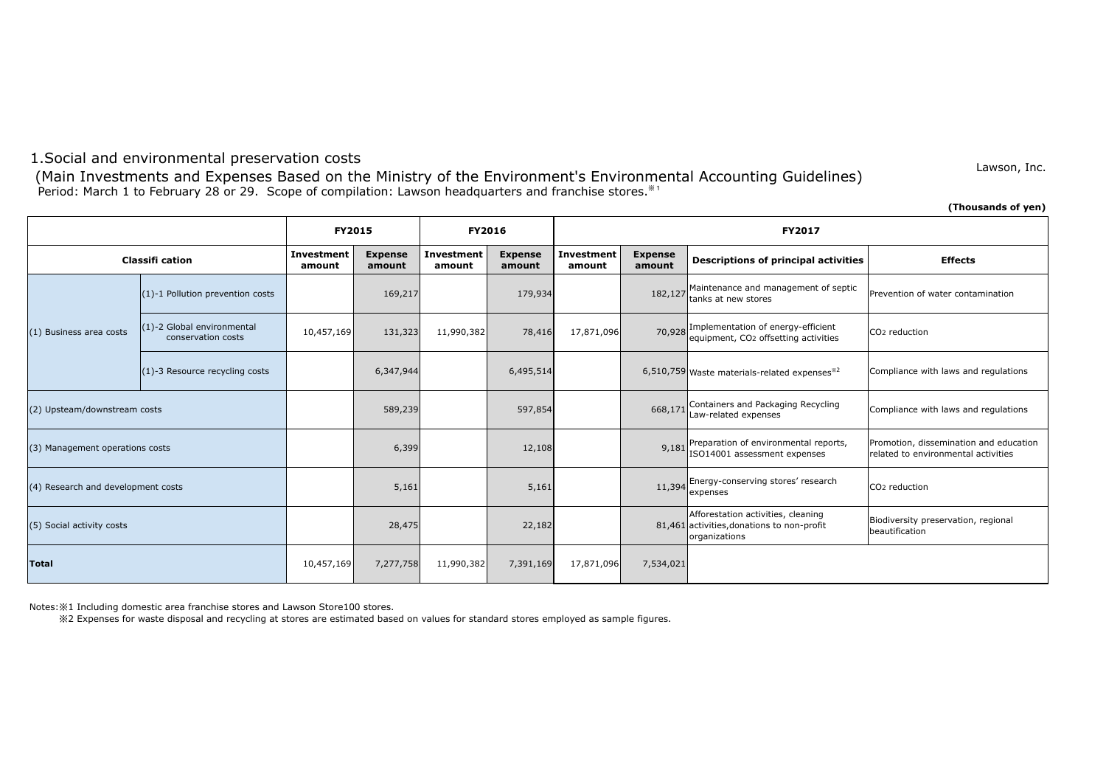## 1.Social and environmental preservation costs

Period: March 1 to February 28 or 29. Scope of compilation: Lawson headquarters and franchise stores.<sup>381</sup> (Main Investments and Expenses Based on the Ministry of the Environment's Environmental Accounting Guidelines)

**(Thousands of yen)**

Lawson, Inc.

|                                    |                                                  | <b>FY2015</b>               |                          | FY2016               |                          | <b>FY2017</b>               |                          |                                                                                                   |                                                                               |  |
|------------------------------------|--------------------------------------------------|-----------------------------|--------------------------|----------------------|--------------------------|-----------------------------|--------------------------|---------------------------------------------------------------------------------------------------|-------------------------------------------------------------------------------|--|
| <b>Classifi cation</b>             |                                                  | <b>Investment</b><br>amount | <b>Expense</b><br>amount | Investment<br>amount | <b>Expense</b><br>amount | <b>Investment</b><br>amount | <b>Expense</b><br>amount | <b>Descriptions of principal activities</b>                                                       | <b>Effects</b>                                                                |  |
|                                    | (1)-1 Pollution prevention costs                 |                             | 169,217                  |                      | 179,934                  |                             | 182,127                  | Maintenance and management of septic<br>tanks at new stores                                       | Prevention of water contamination                                             |  |
| (1) Business area costs            | (1)-2 Global environmental<br>conservation costs | 10,457,169                  | 131,323                  | 11,990,382           | 78,416                   | 17,871,096                  |                          | 70,928 Implementation of energy-efficient<br>equipment, CO2 offsetting activities                 | CO <sub>2</sub> reduction                                                     |  |
|                                    | (1)-3 Resource recycling costs                   |                             | 6,347,944                |                      | 6,495,514                |                             |                          | 6,510,759 Waste materials-related expenses <sup>*2</sup>                                          | Compliance with laws and regulations                                          |  |
| (2) Upsteam/downstream costs       |                                                  |                             | 589,239                  |                      | 597,854                  |                             | 668,171                  | Containers and Packaging Recycling<br>Law-related expenses                                        | Compliance with laws and regulations                                          |  |
| (3) Management operations costs    |                                                  |                             | 6,399                    |                      | 12,108                   |                             |                          | 9,181 Preparation of environmental reports,<br>ISO14001 assessment expenses                       | Promotion, dissemination and education<br>related to environmental activities |  |
| (4) Research and development costs |                                                  |                             | 5,161                    |                      | 5,161                    |                             |                          | 11,394 Energy-conserving stores' research<br>expenses                                             | CO <sub>2</sub> reduction                                                     |  |
| (5) Social activity costs          |                                                  |                             | 28,475                   |                      | 22,182                   |                             |                          | Afforestation activities, cleaning<br>81,461 activities, donations to non-profit<br>organizations | Biodiversity preservation, regional<br>beautification                         |  |
| Total                              |                                                  | 10,457,169                  | 7,277,758                | 11,990,382           | 7,391,169                | 17,871,096                  | 7,534,021                |                                                                                                   |                                                                               |  |

Notes:※1 Including domestic area franchise stores and Lawson Store100 stores.

※2 Expenses for waste disposal and recycling at stores are estimated based on values for standard stores employed as sample figures.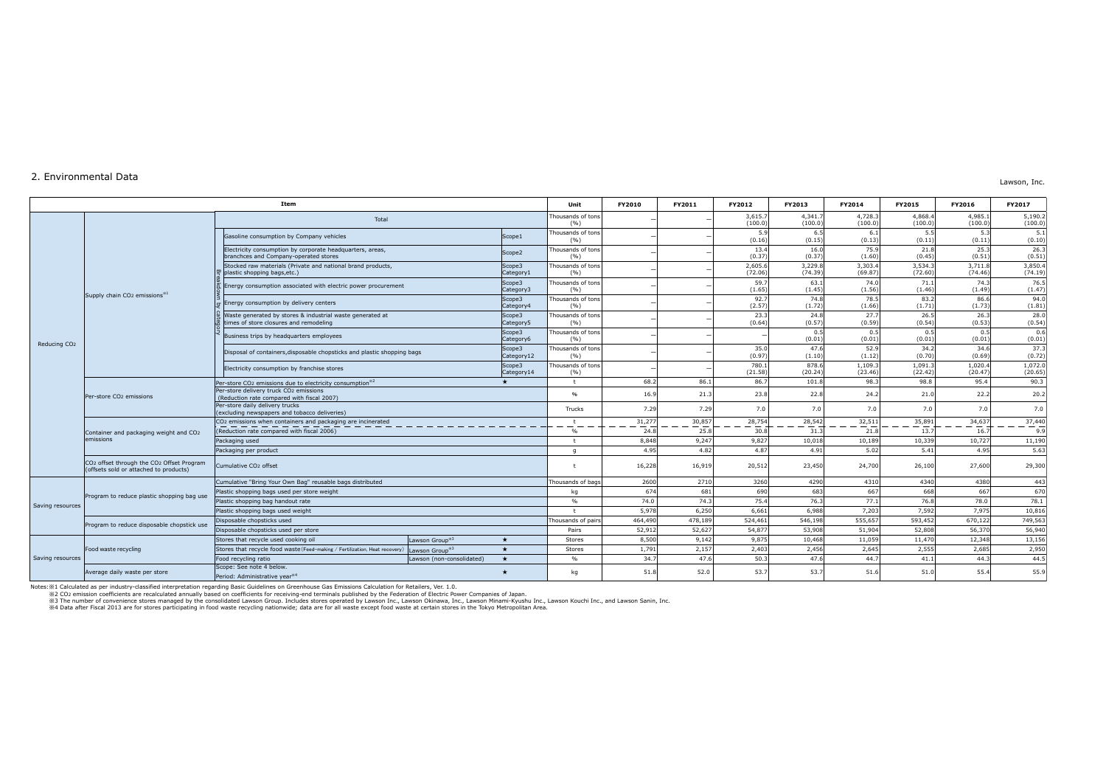## 2. Environmental Data

Lawson, Inc.

|                          |                                                                                                                          | Item                                                                                                   |                            |                      | Unit                      | FY2010  | FY2011  | FY2012             | FY2013             | FY2014             | FY2015             | FY2016             | FY2017             |
|--------------------------|--------------------------------------------------------------------------------------------------------------------------|--------------------------------------------------------------------------------------------------------|----------------------------|----------------------|---------------------------|---------|---------|--------------------|--------------------|--------------------|--------------------|--------------------|--------------------|
|                          |                                                                                                                          | Total                                                                                                  |                            |                      | Thousands of tons<br>(96) |         |         | 3,615.7<br>(100.0) | 4,341.7<br>(100.0) | 4,728.3<br>(100.0) | 4,868.4<br>(100.0) | 4.985.1<br>(100.0) | 5,190.2<br>(100.0) |
| Reducing CO <sub>2</sub> | Supply chain CO <sub>2</sub> emissions <sup>*1</sup>                                                                     | Gasoline consumption by Company vehicles                                                               |                            | Scope1               | Thousands of tons<br>( %) |         |         | 5.9<br>(0.16)      | 6.5<br>(0.15)      | 6.1<br>(0.13)      | 5.5<br>(0.11)      | 5.3<br>(0.11)      | 5.1<br>(0.10)      |
|                          |                                                                                                                          | Electricity consumption by corporate headquarters, areas,<br>branchces and Company-operated stores     |                            | Scope <sub>2</sub>   | Thousands of tons<br>(%)  |         |         | 13.4<br>(0.37)     | 16.0<br>(0.37)     | 75.9<br>(1.60)     | 21.8<br>(0.45)     | 25.3<br>(0.51)     | 26.3<br>(0.51)     |
|                          |                                                                                                                          | Stocked raw materials (Private and national brand products,<br>plastic shopping bags, etc.)            |                            | Scope3<br>Category1  | housands of tons<br>( %)  |         |         | 2,605.6<br>(72.06) | 3,229.8<br>(74.39) | 3,303.4<br>(69.87) | 3,534.<br>(72.60)  | 3,711.8<br>(74.46) | 3,850.4<br>(74.19) |
|                          |                                                                                                                          | Energy consumption associated with electric power procurement                                          |                            | Scope3<br>Category3  | Thousands of tons<br>(%)  |         |         | 59.7<br>(1.65)     | 63.1<br>(1.45)     | 74.0<br>(1.56)     | 71.1<br>(1.46)     | 74.3<br>(1.49)     | 76.5<br>(1.47)     |
|                          |                                                                                                                          | Energy consumption by delivery centers                                                                 |                            | Scope3<br>Category4  | Thousands of tons<br>(96) |         |         | 92.7<br>(2.57)     | 74.8<br>(1.72)     | 78.5<br>(1.66)     | 83.2<br>(1.71)     | 86.6<br>(1.73)     | 94.0<br>(1.81)     |
|                          |                                                                                                                          | Waste generated by stores & industrial waste generated at<br>times of store closures and remodeling    |                            | Scope3<br>Category5  | Thousands of tons<br>(%)  |         |         | 23.3<br>(0.64)     | 24.8<br>(0.57)     | 27.7<br>(0.59)     | 26.5<br>(0.54)     | 26.3<br>(0.53)     | 28.0<br>(0.54)     |
|                          |                                                                                                                          | Business trips by headquarters employees                                                               |                            | Scope3<br>Category6  | Thousands of tons<br>( %) |         |         |                    | 0.5<br>(0.01)      | 0.5<br>(0.01)      | 0.5<br>(0.01)      | 0.5<br>(0.01)      | 0.6<br>(0.01)      |
|                          |                                                                                                                          | Disposal of containers, disposable chopsticks and plastic shopping bags                                |                            | Scope3<br>Category12 | Thousands of tons<br>(%)  |         |         | 35.0<br>(0.97)     | 47.6<br>(1.10)     | 52.9<br>(1.12)     | 34.2<br>(0.70)     | 34.6<br>(0.69)     | 37.3<br>(0.72)     |
|                          |                                                                                                                          | Electricity consumption by franchise stores                                                            |                            | Scope3<br>Category14 | Thousands of tons<br>(%)  |         |         | 780.<br>(21.58)    | 878.6<br>(20.24)   | 1,109.3<br>(23.46) | 1,091.<br>(22.42)  | 1,020.4<br>(20.47) | 1,072.0<br>(20.65) |
|                          |                                                                                                                          | Per-store CO <sub>2</sub> emissions due to electricity consumption <sup>*2</sup>                       |                            | ÷                    | $+$                       | 68.2    | 86.1    | 86.7               | 101.8              | 98.3               | 98.8               | 95.4               | 90.3               |
|                          | Per-store CO <sub>2</sub> emissions                                                                                      | Per-store delivery truck CO2 emissions<br>(Reduction rate compared with fiscal 2007)                   |                            | 96                   | 16.9                      | 21.3    | 23.8    | 22.8               | 24.2               | 21.0               | 22.2               | 20.2               |                    |
|                          |                                                                                                                          | Per-store daily delivery trucks<br>(excluding newspapers and tobacco deliveries)                       |                            | Trucks               | 7.29                      | 7.29    | 7.0     | 7.0                | 7.0                | 7.0                | 7.0                | 7.0                |                    |
|                          |                                                                                                                          | CO <sub>2</sub> emissions when containers and packaging are incinerated                                |                            |                      | t                         | 31,277  | 30,857  | 28,754             | 28,542             | 32,511             | 35,891             | 34,637             | 37,440             |
|                          | Container and packaging weight and CO2<br>emissions                                                                      | (Reduction rate compared with fiscal 2006)                                                             |                            |                      | %                         | 24.8    | 25.8    | 30.8               | 31.3               | 21.8               | 13.7               | 16.7               | 9.9                |
|                          |                                                                                                                          | Packaging used                                                                                         |                            |                      |                           | 8,848   | 9,247   | 9,827              | 10,018             | 10,189             | 10,339             | 10,727             | 11,190             |
|                          |                                                                                                                          | Packaging per product                                                                                  |                            | $\alpha$             | 4.95                      | 4.82    | 4.87    | 4.91               | 5.02               | 5.41               | 4.95               | 5.63               |                    |
|                          | CO2 offset through the CO2 Offset Program<br>Cumulative CO <sub>2</sub> offset<br>(offsets sold or attached to products) |                                                                                                        |                            |                      | 16,228                    | 16,919  | 20,512  | 23,450             | 24,700             | 26,100             | 27,600             | 29,300             |                    |
|                          |                                                                                                                          | Cumulative "Bring Your Own Bag" reusable bags distributed                                              |                            |                      | Thousands of bags         | 2600    | 2710    | 3260               | 4290               | 4310               | 4340               | 4380               | 443                |
|                          |                                                                                                                          | Plastic shopping bags used per store weight                                                            |                            |                      | ka                        | 674     | 681     | 690                | 683                | 667                | 668                | 667                | 670                |
| Saving resources         | Program to reduce plastic shopping bag use                                                                               | Plastic shopping bag handout rate                                                                      |                            |                      | $\%$                      | 74.0    | 74.3    | 75.4               | 76.3               | 77.1               | 76.8               | 78.0               | 78.1               |
|                          |                                                                                                                          | Plastic shopping bags used weight                                                                      |                            | $\pm$                | 5.978                     | 6.250   | 6,661   | 6,988              | 7,203              | 7,592              | 7,975              | 10,816             |                    |
|                          |                                                                                                                          | Disposable chopsticks used                                                                             |                            |                      | Thousands of pairs        | 464,490 | 478,189 | 524,461            | 546,198            | 555,657            | 593,452            | 670,122            | 749,563            |
|                          | Program to reduce disposable chopstick use                                                                               | Disposable chopsticks used per store                                                                   |                            | Pairs                | 52,912                    | 52,627  | 54,877  | 53,908             | 51,904             | 52,808             | 56,370             | 56,940             |                    |
| Saving resources         |                                                                                                                          | Stores that recycle used cooking oil                                                                   | Lawson Group <sup>*3</sup> | $\star$              | Stores                    | 8,500   | 9,142   | 9,875              | 10,468             | 11,059             | 11,470             | 12,348             | 13,156             |
|                          | Food waste recycling                                                                                                     | Stores that recycle food waste (Feed-making / Fertilization, Heat recovery) Lawson Group <sup>®3</sup> |                            | $\star$              | Stores                    | 1,791   | 2,157   | 2,403              | 2,456              | 2,645              | 2,555              | 2,685              | 2,950              |
|                          |                                                                                                                          | Food recycling ratio                                                                                   | Lawson (non-consolidated)  | $\star$              | $\%$                      | 34.7    | 47.6    | 50.3               | 47.6               | 44.7               | 41.1               | 44.3               | 44.5               |
|                          | Average daily waste per store                                                                                            | Scope: See note 4 below.<br>Period: Administrative vear*4                                              |                            |                      | kq                        | 51.8    | 52.0    | 53.7               | 53.7               | 51.6               | 51.0               | 55.4               | 55.9               |

Notes: ※1 Calculated as per industry-classified interpretation regarding Basic Guidelines on Greenhouse Gas Emissions Calculated annually based on coefficients for receiving-end terminals published by the Federation of El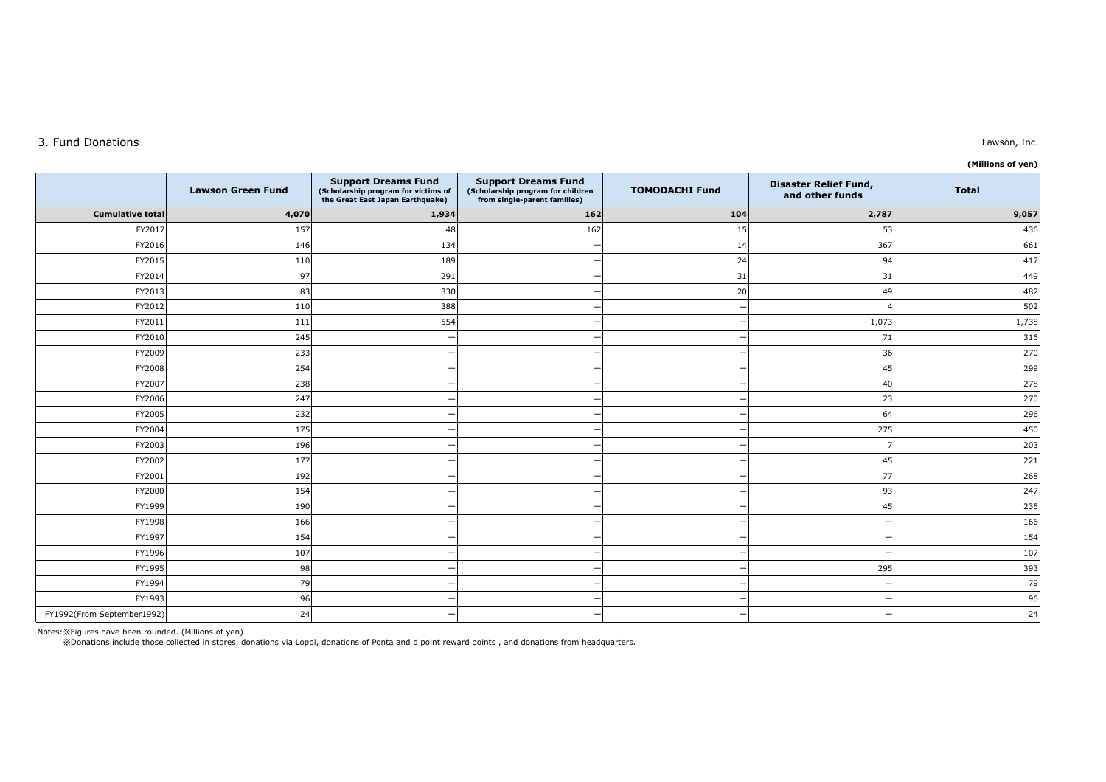## 3. Fund Donations

| (Millions of yen) |  |
|-------------------|--|

|                            | <b>Lawson Green Fund</b> | <b>Support Dreams Fund</b><br>(Scholarship program for victims of<br>the Great East Japan Earthquake) | <b>Support Dreams Fund</b><br>(Scholarship program for children<br>from single-parent families) | <b>TOMODACHI Fund</b>    | <b>Disaster Relief Fund,</b><br>and other funds | <b>Total</b> |
|----------------------------|--------------------------|-------------------------------------------------------------------------------------------------------|-------------------------------------------------------------------------------------------------|--------------------------|-------------------------------------------------|--------------|
| <b>Cumulative total</b>    | 4,070                    | 1,934                                                                                                 | 162                                                                                             | 104                      | 2,787                                           | 9,057        |
| FY2017                     | 157                      | 48                                                                                                    | 162                                                                                             | 15                       | 53                                              | 436          |
| FY2016                     | 146                      | 134                                                                                                   |                                                                                                 | 14                       | 367                                             | 661          |
| FY2015                     | 110                      | 189                                                                                                   |                                                                                                 | 24                       | 94                                              | 417          |
| FY2014                     | 97                       | 291                                                                                                   |                                                                                                 | 31                       | 31                                              | 449          |
| FY2013                     | 83                       | 330                                                                                                   |                                                                                                 | 20                       | 49                                              | 482          |
| FY2012                     | 110                      | 388                                                                                                   |                                                                                                 |                          |                                                 | 502          |
| FY2011                     | 111                      | 554                                                                                                   |                                                                                                 | $\overline{\phantom{0}}$ | 1,073                                           | 1,738        |
| FY2010                     | 245                      |                                                                                                       |                                                                                                 |                          | 71                                              | 316          |
| FY2009                     | 233                      |                                                                                                       |                                                                                                 |                          | 36                                              | 270          |
| FY2008                     | 254                      |                                                                                                       |                                                                                                 |                          | 45                                              | 299          |
| FY2007                     | 238                      |                                                                                                       |                                                                                                 |                          | 40                                              | 278          |
| FY2006                     | 247                      |                                                                                                       |                                                                                                 |                          | 23                                              | 270          |
| FY2005                     | 232                      |                                                                                                       |                                                                                                 |                          | 64                                              | 296          |
| FY2004                     | 175                      |                                                                                                       |                                                                                                 |                          | 275                                             | 450          |
| FY2003                     | 196                      |                                                                                                       |                                                                                                 |                          | $\overline{7}$                                  | 203          |
| FY2002                     | 177                      |                                                                                                       |                                                                                                 |                          | 45                                              | 221          |
| FY2001                     | 192                      |                                                                                                       |                                                                                                 |                          | <b>77</b>                                       | 268          |
| FY2000                     | 154                      |                                                                                                       |                                                                                                 |                          | 93                                              | 247          |
| FY1999                     | 190                      |                                                                                                       |                                                                                                 |                          | 45                                              | 235          |
| FY1998                     | 166                      |                                                                                                       |                                                                                                 |                          |                                                 | 166          |
| FY1997                     | 154                      |                                                                                                       |                                                                                                 |                          |                                                 | 154          |
| FY1996                     | 107                      |                                                                                                       |                                                                                                 |                          |                                                 | 107          |
| FY1995                     | 98                       |                                                                                                       |                                                                                                 |                          | 295                                             | 393          |
| FY1994                     | 79                       |                                                                                                       |                                                                                                 |                          |                                                 | 79           |
| FY1993                     | 96                       |                                                                                                       |                                                                                                 |                          |                                                 | 96           |
| FY1992(From September1992) | 24                       |                                                                                                       |                                                                                                 |                          |                                                 | 24           |

Notes:※Figures have been rounded. (Millions of yen)<br>※Donations include those collected in stores, donations via Loppi, donations of Ponta and d point reward points , and donations from headquarters.

## Lawson, Inc.